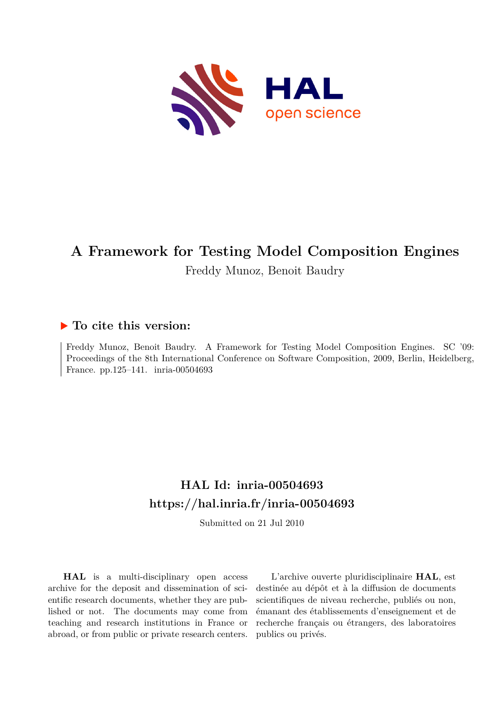

# **A Framework for Testing Model Composition Engines** Freddy Munoz, Benoit Baudry

# **To cite this version:**

Freddy Munoz, Benoit Baudry. A Framework for Testing Model Composition Engines. SC '09: Proceedings of the 8th International Conference on Software Composition, 2009, Berlin, Heidelberg, France. pp.125–141. inria-00504693

# **HAL Id: inria-00504693 <https://hal.inria.fr/inria-00504693>**

Submitted on 21 Jul 2010

**HAL** is a multi-disciplinary open access archive for the deposit and dissemination of scientific research documents, whether they are published or not. The documents may come from teaching and research institutions in France or abroad, or from public or private research centers.

L'archive ouverte pluridisciplinaire **HAL**, est destinée au dépôt et à la diffusion de documents scientifiques de niveau recherche, publiés ou non, émanant des établissements d'enseignement et de recherche français ou étrangers, des laboratoires publics ou privés.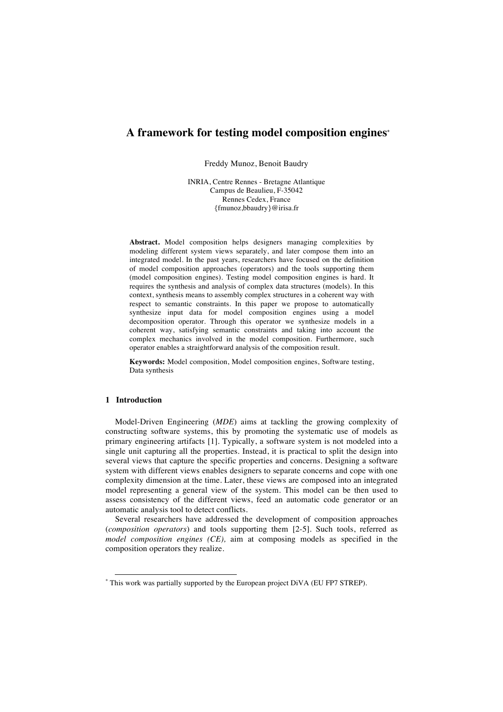# **A framework for testing model composition engines\***

Freddy Munoz, Benoit Baudry

INRIA, Centre Rennes - Bretagne Atlantique Campus de Beaulieu, F-35042 Rennes Cedex, France {fmunoz,bbaudry}@irisa.fr

**Abstract.** Model composition helps designers managing complexities by modeling different system views separately, and later compose them into an integrated model. In the past years, researchers have focused on the definition of model composition approaches (operators) and the tools supporting them (model composition engines). Testing model composition engines is hard. It requires the synthesis and analysis of complex data structures (models). In this context, synthesis means to assembly complex structures in a coherent way with respect to semantic constraints. In this paper we propose to automatically synthesize input data for model composition engines using a model decomposition operator. Through this operator we synthesize models in a coherent way, satisfying semantic constraints and taking into account the complex mechanics involved in the model composition. Furthermore, such operator enables a straightforward analysis of the composition result.

**Keywords:** Model composition, Model composition engines, Software testing, Data synthesis

# **1 Introduction**

Model-Driven Engineering (*MDE*) aims at tackling the growing complexity of constructing software systems, this by promoting the systematic use of models as primary engineering artifacts [1]. Typically, a software system is not modeled into a single unit capturing all the properties. Instead, it is practical to split the design into several views that capture the specific properties and concerns. Designing a software system with different views enables designers to separate concerns and cope with one complexity dimension at the time. Later, these views are composed into an integrated model representing a general view of the system. This model can be then used to assess consistency of the different views, feed an automatic code generator or an automatic analysis tool to detect conflicts.

Several researchers have addressed the development of composition approaches (*composition operators*) and tools supporting them [2-5]. Such tools, referred as *model composition engines (CE),* aim at composing models as specified in the composition operators they realize.

 <sup>\*</sup> This work was partially supported by the European project DiVA (EU FP7 STREP).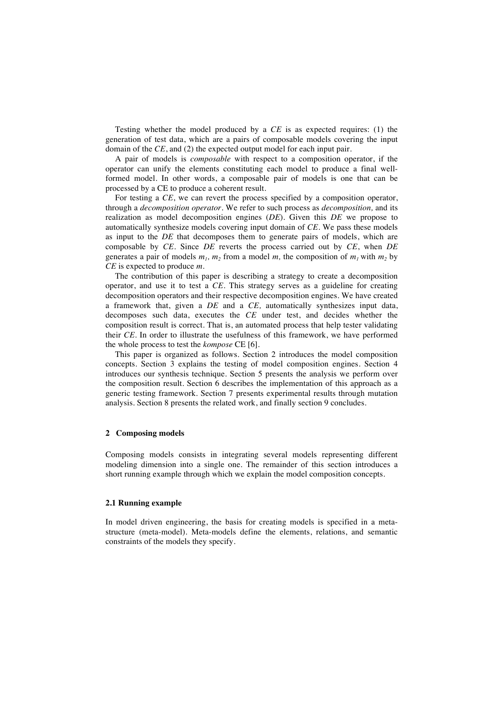Testing whether the model produced by a *CE* is as expected requires: (1) the generation of test data, which are a pairs of composable models covering the input domain of the *CE*, and (2) the expected output model for each input pair.

A pair of models is *composable* with respect to a composition operator, if the operator can unify the elements constituting each model to produce a final wellformed model. In other words, a composable pair of models is one that can be processed by a CE to produce a coherent result.

For testing a *CE*, we can revert the process specified by a composition operator, through a *decomposition operator*. We refer to such process as *decomposition,* and its realization as model decomposition engines (*DE*). Given this *DE* we propose to automatically synthesize models covering input domain of *CE*. We pass these models as input to the *DE* that decomposes them to generate pairs of models, which are composable by *CE.* Since *DE* reverts the process carried out by *CE*, when *DE* generates a pair of models  $m_1$ ,  $m_2$  from a model  $m$ , the composition of  $m_1$  with  $m_2$  by *CE* is expected to produce *m*.

The contribution of this paper is describing a strategy to create a decomposition operator, and use it to test a *CE*. This strategy serves as a guideline for creating decomposition operators and their respective decomposition engines. We have created a framework that, given a *DE* and a *CE,* automatically synthesizes input data, decomposes such data, executes the *CE* under test, and decides whether the composition result is correct. That is, an automated process that help tester validating their *CE*. In order to illustrate the usefulness of this framework, we have performed the whole process to test the *kompose* CE [6].

This paper is organized as follows. Section 2 introduces the model composition concepts. Section 3 explains the testing of model composition engines. Section 4 introduces our synthesis technique. Section 5 presents the analysis we perform over the composition result. Section 6 describes the implementation of this approach as a generic testing framework. Section 7 presents experimental results through mutation analysis. Section 8 presents the related work, and finally section 9 concludes.

### **2 Composing models**

Composing models consists in integrating several models representing different modeling dimension into a single one. The remainder of this section introduces a short running example through which we explain the model composition concepts.

### **2.1 Running example**

In model driven engineering, the basis for creating models is specified in a metastructure (meta-model). Meta-models define the elements, relations, and semantic constraints of the models they specify.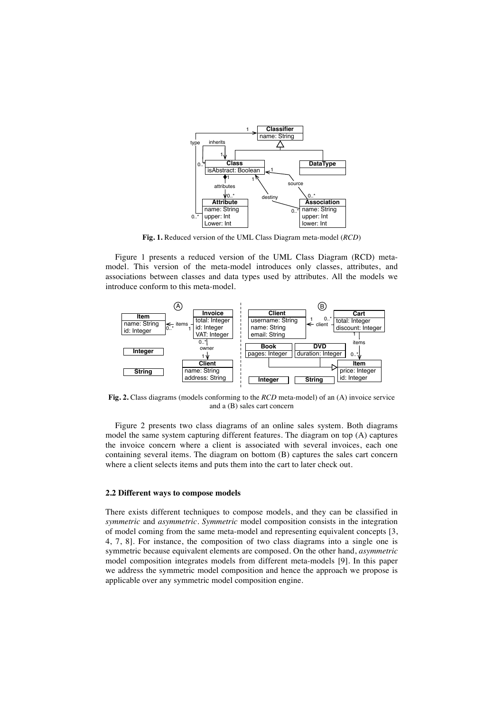

**Fig. 1.** Reduced version of the UML Class Diagram meta-model (*RCD*)

Figure 1 presents a reduced version of the UML Class Diagram (RCD) metamodel. This version of the meta-model introduces only classes, attributes, and associations between classes and data types used by attributes. All the models we introduce conform to this meta-model.



**Fig. 2.** Class diagrams (models conforming to the *RCD* meta-model) of an (A) invoice service and a (B) sales cart concern

Figure 2 presents two class diagrams of an online sales system. Both diagrams model the same system capturing different features. The diagram on top (A) captures the invoice concern where a client is associated with several invoices, each one containing several items. The diagram on bottom (B) captures the sales cart concern where a client selects items and puts them into the cart to later check out.

#### **2.2 Different ways to compose models**

There exists different techniques to compose models, and they can be classified in *symmetric* and *asymmetric*. *Symmetric* model composition consists in the integration of model coming from the same meta-model and representing equivalent concepts [3, 4, 7, 8]. For instance, the composition of two class diagrams into a single one is symmetric because equivalent elements are composed. On the other hand, *asymmetric* model composition integrates models from different meta-models [9]. In this paper we address the symmetric model composition and hence the approach we propose is applicable over any symmetric model composition engine.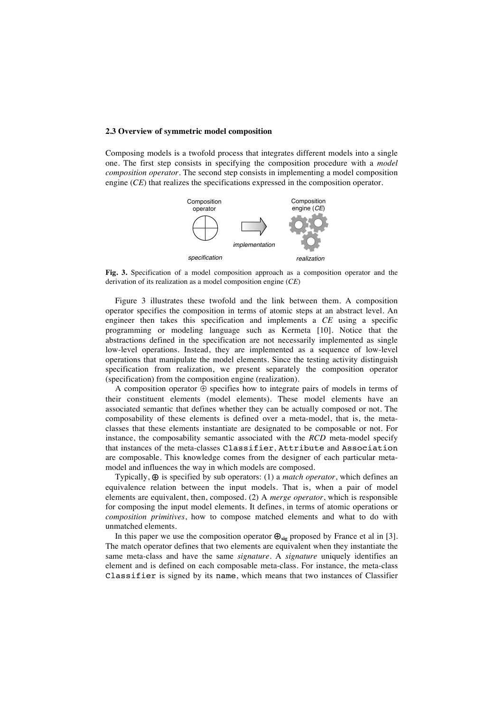#### **2.3 Overview of symmetric model composition**

Composing models is a twofold process that integrates different models into a single one. The first step consists in specifying the composition procedure with a *model composition operator*. The second step consists in implementing a model composition engine (*CE*) that realizes the specifications expressed in the composition operator.



**Fig. 3.** Specification of a model composition approach as a composition operator and the derivation of its realization as a model composition engine (*CE*)

Figure 3 illustrates these twofold and the link between them. A composition operator specifies the composition in terms of atomic steps at an abstract level. An engineer then takes this specification and implements a *CE* using a specific programming or modeling language such as Kermeta [10]. Notice that the abstractions defined in the specification are not necessarily implemented as single low-level operations. Instead, they are implemented as a sequence of low-level operations that manipulate the model elements. Since the testing activity distinguish specification from realization, we present separately the composition operator (specification) from the composition engine (realization).

A composition operator ⊕ specifies how to integrate pairs of models in terms of their constituent elements (model elements). These model elements have an associated semantic that defines whether they can be actually composed or not. The composability of these elements is defined over a meta-model, that is, the metaclasses that these elements instantiate are designated to be composable or not. For instance, the composability semantic associated with the *RCD* meta-model specify that instances of the meta-classes Classifier, Attribute and Association are composable. This knowledge comes from the designer of each particular metamodel and influences the way in which models are composed.

Typically, ⊕ is specified by sub operators: (1) a *match operator*, which defines an equivalence relation between the input models. That is, when a pair of model elements are equivalent, then, composed. (2) A *merge operator*, which is responsible for composing the input model elements. It defines, in terms of atomic operations or *composition primitives*, how to compose matched elements and what to do with unmatched elements.

In this paper we use the composition operator  $\mathbf{\Theta}_{\text{sig}}$  proposed by France et al in [3]. The match operator defines that two elements are equivalent when they instantiate the same meta-class and have the same *signature*. A *signature* uniquely identifies an element and is defined on each composable meta-class. For instance, the meta-class Classifier is signed by its name, which means that two instances of Classifier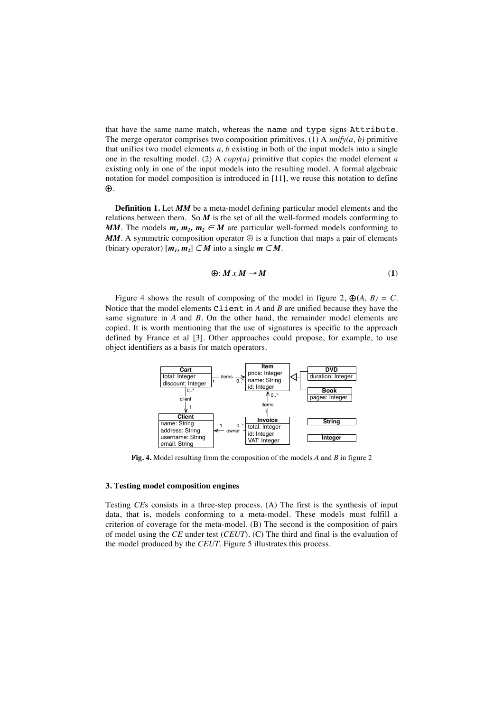that have the same name match, whereas the name and type signs Attribute. The merge operator comprises two composition primitives. (1) A *unify(a, b)* primitive that unifies two model elements *a*, *b* existing in both of the input models into a single one in the resulting model. (2) A *copy(a)* primitive that copies the model element *a* existing only in one of the input models into the resulting model. A formal algebraic notation for model composition is introduced in [11], we reuse this notation to define ⊕.

**Definition 1.** Let *MM* be a meta-model defining particular model elements and the relations between them. So  $M$  is the set of all the well-formed models conforming to *MM*. The models  $m, m_1, m_2 \in M$  are particular well-formed models conforming to *MM*. A symmetric composition operator  $\oplus$  is a function that maps a pair of elements (binary operator)  $[m_1, m_2] \in M$  into a single  $m \in M$ .

$$
\bigoplus: M \times M \to M \tag{1}
$$

Figure 4 shows the result of composing of the model in figure 2,  $\Theta(A, B) = C$ . Notice that the model elements Client in *A* and *B* are unified because they have the same signature in *A* and *B*. On the other hand, the remainder model elements are copied. It is worth mentioning that the use of signatures is specific to the approach defined by France et al [3]. Other approaches could propose, for example, to use object identifiers as a basis for match operators.



**Fig. 4.** Model resulting from the composition of the models *A* and *B* in figure 2

#### **3. Testing model composition engines**

Testing *CE*s consists in a three-step process. (A) The first is the synthesis of input data, that is, models conforming to a meta-model. These models must fulfill a criterion of coverage for the meta-model. (B) The second is the composition of pairs of model using the *CE* under test (*CEUT*). (C) The third and final is the evaluation of the model produced by the *CEUT*. Figure 5 illustrates this process.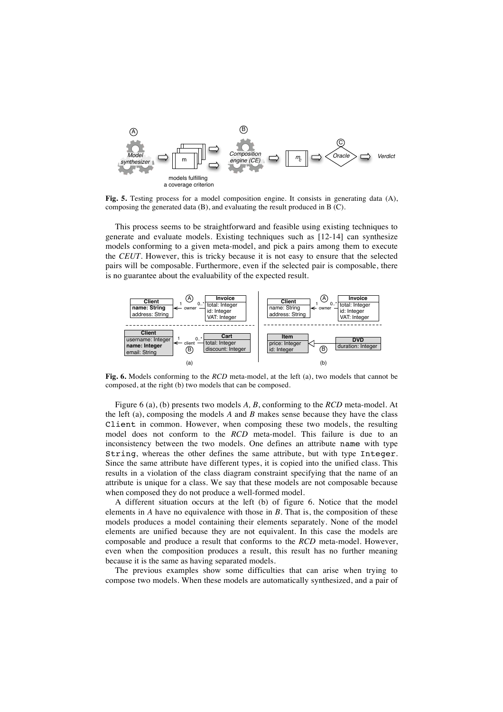

Fig. 5. Testing process for a model composition engine. It consists in generating data (A), composing the generated data (B), and evaluating the result produced in B (C).

This process seems to be straightforward and feasible using existing techniques to generate and evaluate models. Existing techniques such as [12-14] can synthesize models conforming to a given meta-model, and pick a pairs among them to execute the *CEUT*. However, this is tricky because it is not easy to ensure that the selected pairs will be composable. Furthermore, even if the selected pair is composable, there is no guarantee about the evaluability of the expected result.



**Fig. 6.** Models conforming to the *RCD* meta-model, at the left (a), two models that cannot be composed, at the right (b) two models that can be composed.

Figure 6 (a), (b) presents two models *A, B*, conforming to the *RCD* meta-model. At the left (a), composing the models *A* and *B* makes sense because they have the class Client in common. However, when composing these two models, the resulting model does not conform to the *RCD* meta-model. This failure is due to an inconsistency between the two models. One defines an attribute name with type String, whereas the other defines the same attribute, but with type Integer. Since the same attribute have different types, it is copied into the unified class. This results in a violation of the class diagram constraint specifying that the name of an attribute is unique for a class. We say that these models are not composable because when composed they do not produce a well-formed model.

A different situation occurs at the left (b) of figure 6. Notice that the model elements in *A* have no equivalence with those in *B*. That is, the composition of these models produces a model containing their elements separately. None of the model elements are unified because they are not equivalent. In this case the models are composable and produce a result that conforms to the *RCD* meta-model. However, even when the composition produces a result, this result has no further meaning because it is the same as having separated models.

The previous examples show some difficulties that can arise when trying to compose two models. When these models are automatically synthesized, and a pair of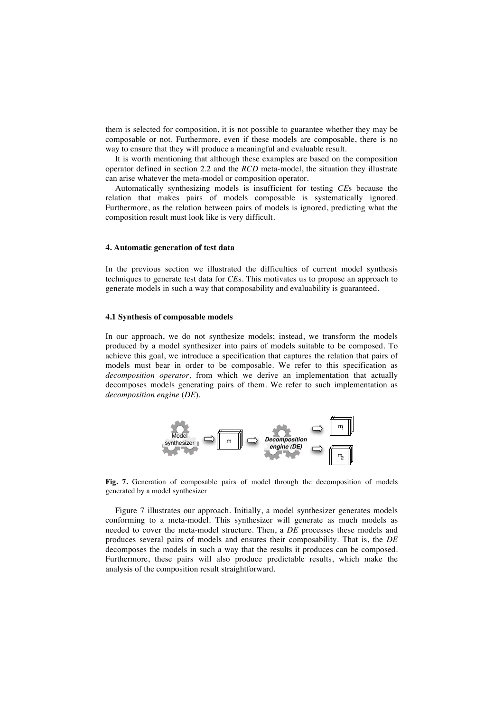them is selected for composition, it is not possible to guarantee whether they may be composable or not. Furthermore, even if these models are composable, there is no way to ensure that they will produce a meaningful and evaluable result.

It is worth mentioning that although these examples are based on the composition operator defined in section 2.2 and the *RCD* meta-model, the situation they illustrate can arise whatever the meta-model or composition operator.

Automatically synthesizing models is insufficient for testing *CE*s because the relation that makes pairs of models composable is systematically ignored. Furthermore, as the relation between pairs of models is ignored, predicting what the composition result must look like is very difficult.

#### **4. Automatic generation of test data**

In the previous section we illustrated the difficulties of current model synthesis techniques to generate test data for *CE*s. This motivates us to propose an approach to generate models in such a way that composability and evaluability is guaranteed.

#### **4.1 Synthesis of composable models**

In our approach, we do not synthesize models; instead, we transform the models produced by a model synthesizer into pairs of models suitable to be composed. To achieve this goal, we introduce a specification that captures the relation that pairs of models must bear in order to be composable. We refer to this specification as *decomposition operator,* from which we derive an implementation that actually decomposes models generating pairs of them. We refer to such implementation as *decomposition engine* (*DE*).



**Fig. 7.** Generation of composable pairs of model through the decomposition of models generated by a model synthesizer

Figure 7 illustrates our approach. Initially, a model synthesizer generates models conforming to a meta-model. This synthesizer will generate as much models as needed to cover the meta-model structure. Then, a *DE* processes these models and produces several pairs of models and ensures their composability. That is, the *DE* decomposes the models in such a way that the results it produces can be composed. Furthermore, these pairs will also produce predictable results, which make the analysis of the composition result straightforward.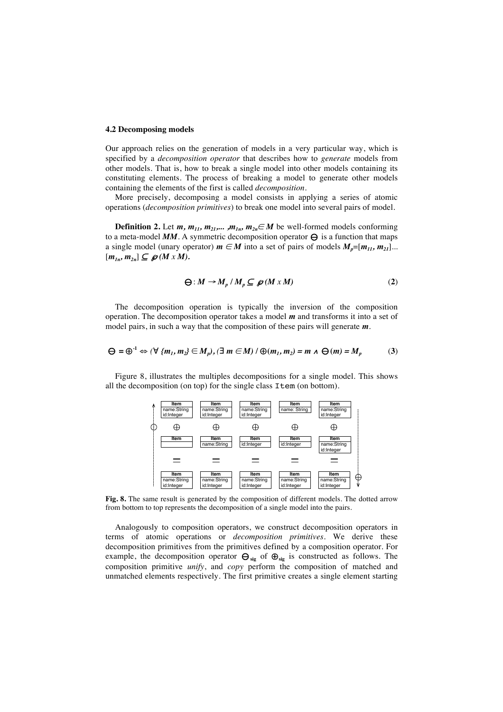#### **4.2 Decomposing models**

Our approach relies on the generation of models in a very particular way, which is specified by a *decomposition operator* that describes how to *generate* models from other models. That is, how to break a single model into other models containing its constituting elements. The process of breaking a model to generate other models containing the elements of the first is called *decomposition*.

More precisely, decomposing a model consists in applying a series of atomic operations (*decomposition primitives*) to break one model into several pairs of model.

**Definition 2.** Let  $m$ ,  $m_{11}$ ,  $m_{21}$ ,...,  $m_{1n}$ ,  $m_{2n} \in M$  be well-formed models conforming to a meta-model  $MM$ . A symmetric decomposition operator  $\Theta$  is a function that maps a single model (unary operator)  $m \in M$  into a set of pairs of models  $M_p = [m_{11}, m_{21}]...$  $[m_{1n}, m_{2n}] \subseteq \mathcal{P}(M \times M).$ 

$$
\Theta: M \to M_p / M_p \subseteq \mathcal{P}(M \times M) \tag{2}
$$

The decomposition operation is typically the inversion of the composition operation. The decomposition operator takes a model *m* and transforms it into a set of model pairs, in such a way that the composition of these pairs will generate *m.*

$$
\Theta = \Theta^{-1} \Leftrightarrow (\forall \{m_1, m_2\} \in M_p), (\exists \ m \in M) / \Theta(m_1, m_2) = m \land \Theta(m) = M_p \tag{3}
$$

Figure 8, illustrates the multiples decompositions for a single model. This shows all the decomposition (on top) for the single class Item (on bottom).



**Fig. 8.** The same result is generated by the composition of different models. The dotted arrow from bottom to top represents the decomposition of a single model into the pairs.

Analogously to composition operators, we construct decomposition operators in terms of atomic operations or *decomposition primitives*. We derive these decomposition primitives from the primitives defined by a composition operator. For example, the decomposition operator  $\Theta_{\text{sig}}$  of  $\Theta_{\text{sig}}$  is constructed as follows. The composition primitive *unify*, and *copy* perform the composition of matched and unmatched elements respectively. The first primitive creates a single element starting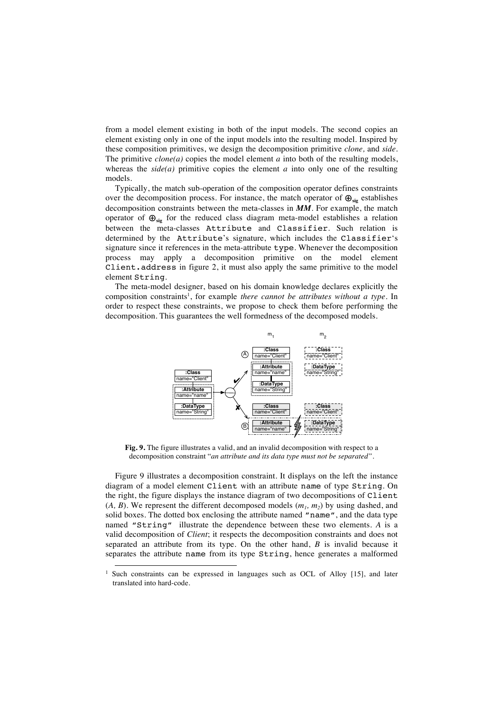from a model element existing in both of the input models. The second copies an element existing only in one of the input models into the resulting model. Inspired by these composition primitives, we design the decomposition primitive *clone,* and *side*. The primitive *clone(a)* copies the model element *a* into both of the resulting models, whereas the  $side(a)$  primitive copies the element *a* into only one of the resulting models.

Typically, the match sub-operation of the composition operator defines constraints over the decomposition process. For instance, the match operator of ⊕**sig** establishes decomposition constraints between the meta-classes in *MM*. For example, the match operator of ⊕**sig** for the reduced class diagram meta-model establishes a relation between the meta-classes Attribute and Classifier. Such relation is determined by the Attribute's signature, which includes the Classifier's signature since it references in the meta-attribute type. Whenever the decomposition process may apply a decomposition primitive on the model element Client.address in figure 2, it must also apply the same primitive to the model element String.

The meta-model designer, based on his domain knowledge declares explicitly the composition constraints<sup>1</sup>, for example *there cannot be attributes without a type*. In order to respect these constraints, we propose to check them before performing the decomposition. This guarantees the well formedness of the decomposed models.



**Fig. 9.** The figure illustrates a valid, and an invalid decomposition with respect to a decomposition constraint "*an attribute and its data type must not be separated"*.

Figure 9 illustrates a decomposition constraint. It displays on the left the instance diagram of a model element Client with an attribute name of type String. On the right, the figure displays the instance diagram of two decompositions of Client  $(A, B)$ . We represent the different decomposed models  $(m_1, m_2)$  by using dashed, and solid boxes. The dotted box enclosing the attribute named "name", and the data type named "String" illustrate the dependence between these two elements. *A* is a valid decomposition of *Client*; it respects the decomposition constraints and does not separated an attribute from its type. On the other hand, *B* is invalid because it separates the attribute name from its type String, hence generates a malformed

 <sup>1</sup> Such constraints can be expressed in languages such as OCL of Alloy [15], and later translated into hard-code.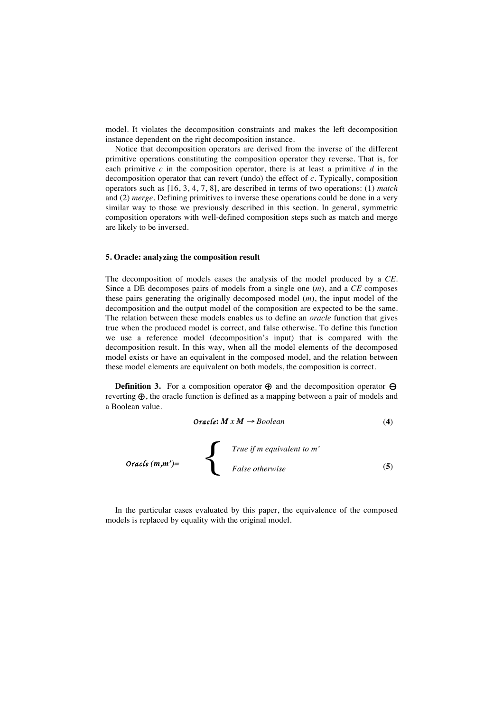model. It violates the decomposition constraints and makes the left decomposition instance dependent on the right decomposition instance.

Notice that decomposition operators are derived from the inverse of the different primitive operations constituting the composition operator they reverse. That is, for each primitive  $c$  in the composition operator, there is at least a primitive  $d$  in the decomposition operator that can revert (undo) the effect of *c.* Typically, composition operators such as [16, 3, 4, 7, 8], are described in terms of two operations: (1) *match* and (2) *merge.* Defining primitives to inverse these operations could be done in a very similar way to those we previously described in this section. In general, symmetric composition operators with well-defined composition steps such as match and merge are likely to be inversed.

#### **5. Oracle: analyzing the composition result**

The decomposition of models eases the analysis of the model produced by a *CE*. Since a DE decomposes pairs of models from a single one (*m*), and a *CE* composes these pairs generating the originally decomposed model (*m*), the input model of the decomposition and the output model of the composition are expected to be the same. The relation between these models enables us to define an *oracle* function that gives true when the produced model is correct, and false otherwise. To define this function we use a reference model (decomposition's input) that is compared with the decomposition result. In this way, when all the model elements of the decomposed model exists or have an equivalent in the composed model, and the relation between these model elements are equivalent on both models, the composition is correct.

**Definition 3.** For a composition operator  $\oplus$  and the decomposition operator  $\ominus$ reverting  $\oplus$ , the oracle function is defined as a mapping between a pair of models and a Boolean value.

*Oracle*: 
$$
M \times M \rightarrow Boolean
$$
 (4)

$$
Oracle (m,m') = \n\begin{cases}\n\text{True if } m \text{ equivalent to } m' \\
\text{False otherwise}\n\end{cases} \tag{5}
$$

In the particular cases evaluated by this paper, the equivalence of the composed models is replaced by equality with the original model.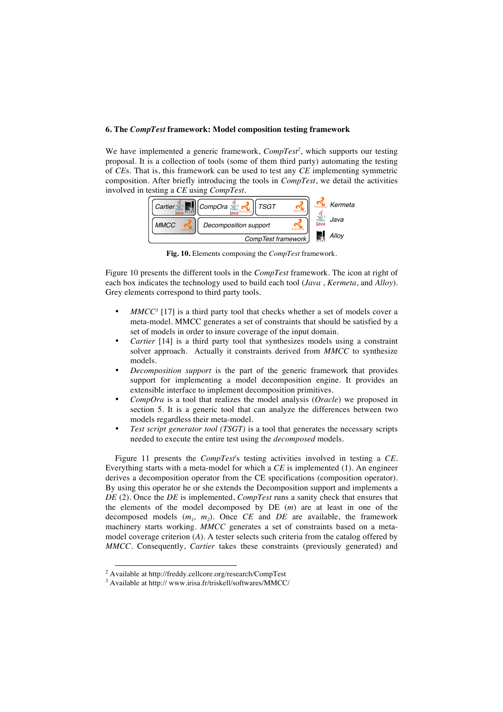#### **6. The** *CompTest* **framework: Model composition testing framework**

We have implemented a generic framework, *CompTest2* , which supports our testing proposal. It is a collection of tools (some of them third party) automating the testing of *CE*s. That is, this framework can be used to test any *CE* implementing symmetric composition. After briefly introducing the tools in *CompTest*, we detail the activities involved in testing a *CE* using *CompTest*.



**Fig. 10.** Elements composing the *CompTest* framework.

Figure 10 presents the different tools in the *CompTest* framework. The icon at right of each box indicates the technology used to build each tool (*Java* , *Kermeta*, and *Alloy*). Grey elements correspond to third party tools.

- $MMCC<sup>3</sup>$  [17] is a third party tool that checks whether a set of models cover a meta-model. MMCC generates a set of constraints that should be satisfied by a set of models in order to insure coverage of the input domain.
- *Cartier* [14] is a third party tool that synthesizes models using a constraint solver approach. Actually it constraints derived from *MMCC* to synthesize models.
- *Decomposition support* is the part of the generic framework that provides support for implementing a model decomposition engine. It provides an extensible interface to implement decomposition primitives.
- *CompOra* is a tool that realizes the model analysis (*Oracle*) we proposed in section 5. It is a generic tool that can analyze the differences between two models regardless their meta-model.
- *Test script generator tool (TSGT)* is a tool that generates the necessary scripts needed to execute the entire test using the *decomposed* models.

Figure 11 presents the *CompTest*'s testing activities involved in testing a *CE*. Everything starts with a meta-model for which a *CE* is implemented (1). An engineer derives a decomposition operator from the CE specifications (composition operator). By using this operator he or she extends the Decomposition support and implements a *DE* (2). Once the *DE* is implemented, *CompTest* runs a sanity check that ensures that the elements of the model decomposed by DE (*m*) are at least in one of the decomposed models  $(m_1, m_2)$ . Once *CE* and *DE* are available, the framework machinery starts working. *MMCC* generates a set of constraints based on a metamodel coverage criterion (*A*). A tester selects such criteria from the catalog offered by *MMCC*. Consequently, *Cartier* takes these constraints (previously generated) and

 <sup>2</sup> Available at http://freddy.cellcore.org/research/CompTest

<sup>&</sup>lt;sup>3</sup> Available at http:// www.irisa.fr/triskell/softwares/MMCC/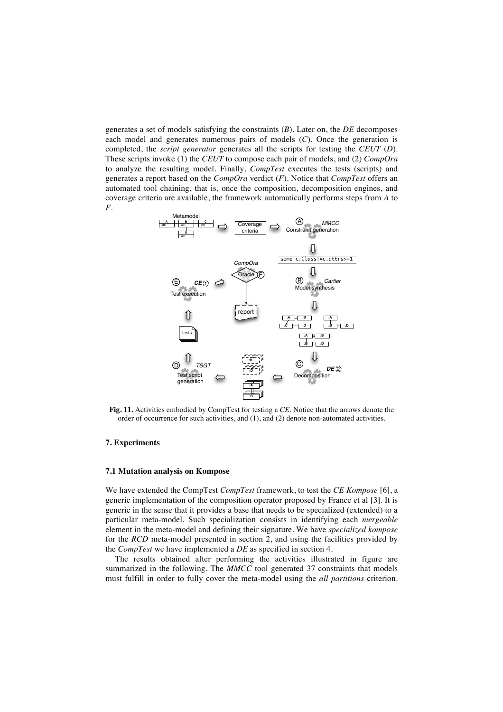generates a set of models satisfying the constraints (*B*). Later on, the *DE* decomposes each model and generates numerous pairs of models (*C*). Once the generation is completed, the *script generator* generates all the scripts for testing the *CEUT* (*D*). These scripts invoke (1) the *CEUT* to compose each pair of models, and (2) *CompOra* to analyze the resulting model. Finally, *CompTest* executes the tests (scripts) and generates a report based on the *CompOra* verdict (*F*). Notice that *CompTest* offers an automated tool chaining, that is, once the composition, decomposition engines, and coverage criteria are available, the framework automatically performs steps from *A* to *F*.



**Fig. 11.** Activities embodied by CompTest for testing a *CE*. Notice that the arrows denote the order of occurrence for such activities, and (1), and (2) denote non-automated activities.

# **7. Experiments**

#### **7.1 Mutation analysis on Kompose**

We have extended the CompTest *CompTest* framework, to test the *CE Kompose* [6], a generic implementation of the composition operator proposed by France et al [3]. It is generic in the sense that it provides a base that needs to be specialized (extended) to a particular meta-model. Such specialization consists in identifying each *mergeable* element in the meta-model and defining their signature. We have *specialized kompose* for the *RCD* meta-model presented in section 2, and using the facilities provided by the *CompTest* we have implemented a *DE* as specified in section 4.

The results obtained after performing the activities illustrated in figure are summarized in the following. The MMCC tool generated 37 constraints that models must fulfill in order to fully cover the meta-model using the *all partitions* criterion.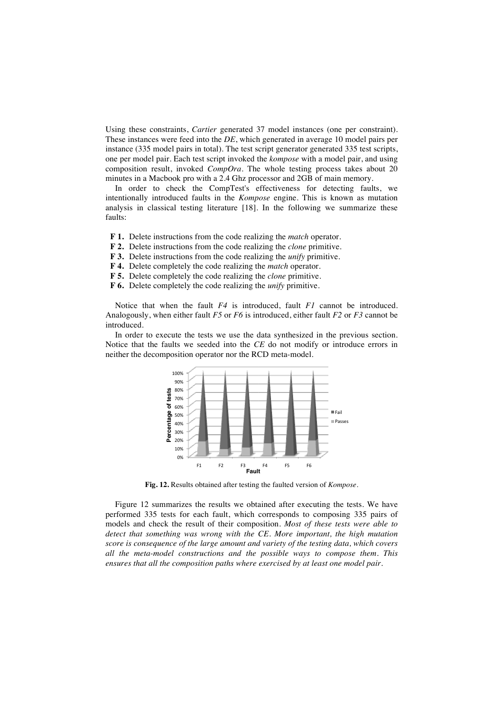Using these constraints, *Cartier* generated 37 model instances (one per constraint). These instances were feed into the *DE*, which generated in average 10 model pairs per instance (335 model pairs in total). The test script generator generated 335 test scripts, one per model pair. Each test script invoked the *kompose* with a model pair, and using composition result, invoked *CompOra*. The whole testing process takes about 20 minutes in a Macbook pro with a 2.4 Ghz processor and 2GB of main memory.

In order to check the CompTest's effectiveness for detecting faults, we intentionally introduced faults in the *Kompose* engine. This is known as mutation analysis in classical testing literature [18]. In the following we summarize these faults:

- **F 1.** Delete instructions from the code realizing the *match* operator.
- **F 2.** Delete instructions from the code realizing the *clone* primitive.
- **F 3.** Delete instructions from the code realizing the *unify* primitive.
- **F 4.** Delete completely the code realizing the *match* operator.
- **F 5.** Delete completely the code realizing the *clone* primitive.
- **F 6.** Delete completely the code realizing the *unify* primitive.

Notice that when the fault *F4* is introduced, fault *F1* cannot be introduced. Analogously, when either fault *F5* or *F6* is introduced, either fault *F2* or *F3* cannot be introduced.

In order to execute the tests we use the data synthesized in the previous section. Notice that the faults we seeded into the *CE* do not modify or introduce errors in neither the decomposition operator nor the RCD meta-model.



**Fig. 12.** Results obtained after testing the faulted version of *Kompose*.

Figure 12 summarizes the results we obtained after executing the tests. We have performed 335 tests for each fault, which corresponds to composing 335 pairs of models and check the result of their composition. *Most of these tests were able to detect that something was wrong with the CE. More important, the high mutation score is consequence of the large amount and variety of the testing data, which covers all the meta-model constructions and the possible ways to compose them. This ensures that all the composition paths where exercised by at least one model pair.*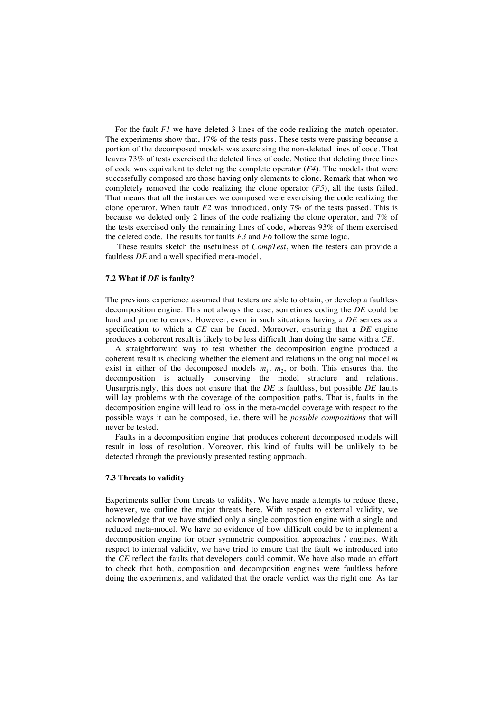For the fault *F1* we have deleted 3 lines of the code realizing the match operator. The experiments show that, 17% of the tests pass. These tests were passing because a portion of the decomposed models was exercising the non-deleted lines of code. That leaves 73% of tests exercised the deleted lines of code. Notice that deleting three lines of code was equivalent to deleting the complete operator (*F4*). The models that were successfully composed are those having only elements to clone. Remark that when we completely removed the code realizing the clone operator (*F5*), all the tests failed. That means that all the instances we composed were exercising the code realizing the clone operator. When fault *F2* was introduced, only 7% of the tests passed. This is because we deleted only 2 lines of the code realizing the clone operator, and 7% of the tests exercised only the remaining lines of code, whereas 93% of them exercised the deleted code. The results for faults *F3* and *F6* follow the same logic.

These results sketch the usefulness of *CompTest*, when the testers can provide a faultless *DE* and a well specified meta-model.

# **7.2 What if** *DE* **is faulty?**

The previous experience assumed that testers are able to obtain, or develop a faultless decomposition engine. This not always the case, sometimes coding the *DE* could be hard and prone to errors. However, even in such situations having a *DE* serves as a specification to which a *CE* can be faced. Moreover, ensuring that a *DE* engine produces a coherent result is likely to be less difficult than doing the same with a *CE*.

A straightforward way to test whether the decomposition engine produced a coherent result is checking whether the element and relations in the original model *m* exist in either of the decomposed models  $m_1$ ,  $m_2$ , or both. This ensures that the decomposition is actually conserving the model structure and relations. Unsurprisingly, this does not ensure that the *DE* is faultless, but possible *DE* faults will lay problems with the coverage of the composition paths. That is, faults in the decomposition engine will lead to loss in the meta-model coverage with respect to the possible ways it can be composed, i.e. there will be *possible compositions* that will never be tested.

Faults in a decomposition engine that produces coherent decomposed models will result in loss of resolution. Moreover, this kind of faults will be unlikely to be detected through the previously presented testing approach.

#### **7.3 Threats to validity**

Experiments suffer from threats to validity. We have made attempts to reduce these, however, we outline the major threats here. With respect to external validity, we acknowledge that we have studied only a single composition engine with a single and reduced meta-model. We have no evidence of how difficult could be to implement a decomposition engine for other symmetric composition approaches / engines. With respect to internal validity, we have tried to ensure that the fault we introduced into the *CE* reflect the faults that developers could commit. We have also made an effort to check that both, composition and decomposition engines were faultless before doing the experiments, and validated that the oracle verdict was the right one. As far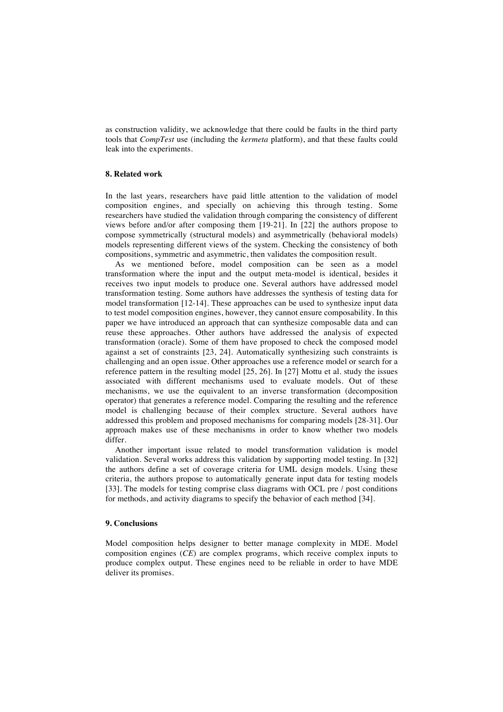as construction validity, we acknowledge that there could be faults in the third party tools that *CompTest* use (including the *kermeta* platform), and that these faults could leak into the experiments.

# **8. Related work**

In the last years, researchers have paid little attention to the validation of model composition engines, and specially on achieving this through testing. Some researchers have studied the validation through comparing the consistency of different views before and/or after composing them [19-21]. In [22] the authors propose to compose symmetrically (structural models) and asymmetrically (behavioral models) models representing different views of the system. Checking the consistency of both compositions, symmetric and asymmetric, then validates the composition result.

As we mentioned before, model composition can be seen as a model transformation where the input and the output meta-model is identical, besides it receives two input models to produce one. Several authors have addressed model transformation testing. Some authors have addresses the synthesis of testing data for model transformation [12-14]. These approaches can be used to synthesize input data to test model composition engines, however, they cannot ensure composability. In this paper we have introduced an approach that can synthesize composable data and can reuse these approaches. Other authors have addressed the analysis of expected transformation (oracle). Some of them have proposed to check the composed model against a set of constraints [23, 24]. Automatically synthesizing such constraints is challenging and an open issue. Other approaches use a reference model or search for a reference pattern in the resulting model [25, 26]. In [27] Mottu et al. study the issues associated with different mechanisms used to evaluate models. Out of these mechanisms, we use the equivalent to an inverse transformation (decomposition operator) that generates a reference model. Comparing the resulting and the reference model is challenging because of their complex structure. Several authors have addressed this problem and proposed mechanisms for comparing models [28-31]. Our approach makes use of these mechanisms in order to know whether two models differ.

Another important issue related to model transformation validation is model validation. Several works address this validation by supporting model testing. In [32] the authors define a set of coverage criteria for UML design models. Using these criteria, the authors propose to automatically generate input data for testing models [33]. The models for testing comprise class diagrams with OCL pre / post conditions for methods, and activity diagrams to specify the behavior of each method [34].

# **9. Conclusions**

Model composition helps designer to better manage complexity in MDE. Model composition engines (*CE*) are complex programs, which receive complex inputs to produce complex output. These engines need to be reliable in order to have MDE deliver its promises.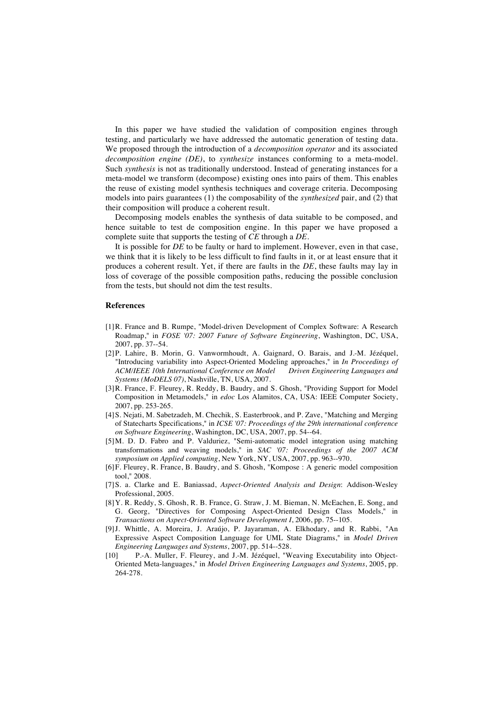In this paper we have studied the validation of composition engines through testing, and particularly we have addressed the automatic generation of testing data. We proposed through the introduction of a *decomposition operator* and its associated *decomposition engine (DE)*, to *synthesize* instances conforming to a meta-model. Such *synthesis* is not as traditionally understood. Instead of generating instances for a meta-model we transform (decompose) existing ones into pairs of them. This enables the reuse of existing model synthesis techniques and coverage criteria. Decomposing models into pairs guarantees (1) the composability of the *synthesized* pair, and (2) that their composition will produce a coherent result.

Decomposing models enables the synthesis of data suitable to be composed, and hence suitable to test de composition engine. In this paper we have proposed a complete suite that supports the testing of *CE* through a *DE*.

It is possible for *DE* to be faulty or hard to implement. However, even in that case, we think that it is likely to be less difficult to find faults in it, or at least ensure that it produces a coherent result. Yet, if there are faults in the *DE*, these faults may lay in loss of coverage of the possible composition paths, reducing the possible conclusion from the tests, but should not dim the test results.

#### **References**

- [1]R. France and B. Rumpe, "Model-driven Development of Complex Software: A Research Roadmap," in *FOSE '07: 2007 Future of Software Engineering*, Washington, DC, USA, 2007, pp. 37--54.
- [2]P. Lahire, B. Morin, G. Vanwormhoudt, A. Gaignard, O. Barais, and J.-M. Jézéquel, "Introducing variability into Aspect-Oriented Modeling approaches," in *In Proceedings of ACM/IEEE 10th International Conference on Model Driven Engineering Languages and Systems (MoDELS 07)*, Nashville, TN, USA, 2007.
- [3]R. France, F. Fleurey, R. Reddy, B. Baudry, and S. Ghosh, "Providing Support for Model Composition in Metamodels," in *edoc* Los Alamitos, CA, USA: IEEE Computer Society, 2007, pp. 253-265.
- [4]S. Nejati, M. Sabetzadeh, M. Chechik, S. Easterbrook, and P. Zave, "Matching and Merging of Statecharts Specifications," in *ICSE '07: Proceedings of the 29th international conference on Software Engineering*, Washington, DC, USA, 2007, pp. 54--64.
- [5]M. D. D. Fabro and P. Valduriez, "Semi-automatic model integration using matching transformations and weaving models," in *SAC '07: Proceedings of the 2007 ACM symposium on Applied computing*, New York, NY, USA, 2007, pp. 963--970.
- [6]F. Fleurey, R. France, B. Baudry, and S. Ghosh, "Kompose : A generic model composition tool," 2008.
- [7]S. a. Clarke and E. Baniassad, *Aspect-Oriented Analysis and Design*: Addison-Wesley Professional, 2005.
- [8]Y. R. Reddy, S. Ghosh, R. B. France, G. Straw, J. M. Bieman, N. McEachen, E. Song, and G. Georg, "Directives for Composing Aspect-Oriented Design Class Models," in *Transactions on Aspect-Oriented Software Development I*, 2006, pp. 75--105.
- [9]J. Whittle, A. Moreira, J. Araújo, P. Jayaraman, A. Elkhodary, and R. Rabbi, "An Expressive Aspect Composition Language for UML State Diagrams," in *Model Driven Engineering Languages and Systems*, 2007, pp. 514--528.
- [10] P.-A. Muller, F. Fleurey, and J.-M. Jézéquel, "Weaving Executability into Object-Oriented Meta-languages," in *Model Driven Engineering Languages and Systems*, 2005, pp. 264-278.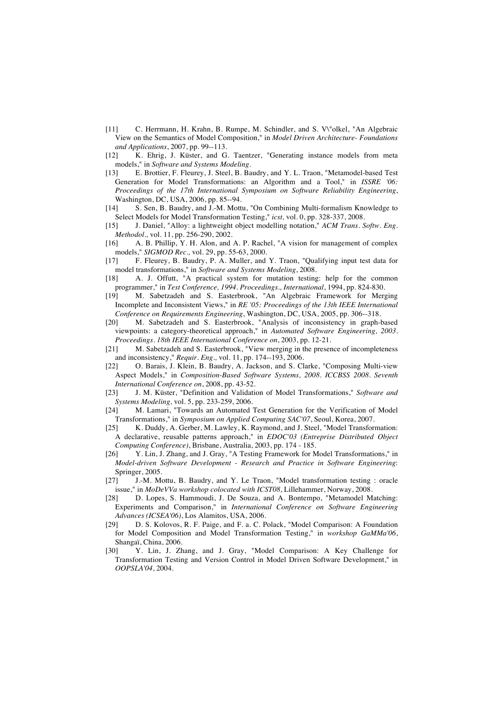- [11] C. Herrmann, H. Krahn, B. Rumpe, M. Schindler, and S. V\"olkel, "An Algebraic View on the Semantics of Model Composition," in *Model Driven Architecture- Foundations and Applications*, 2007, pp. 99--113.
- [12] K. Ehrig, J. Küster, and G. Taentzer, "Generating instance models from meta models," in *Software and Systems Modeling*.
- [13] E. Brottier, F. Fleurey, J. Steel, B. Baudry, and Y. L. Traon, "Metamodel-based Test Generation for Model Transformations: an Algorithm and a Tool," in *ISSRE '06: Proceedings of the 17th International Symposium on Software Reliability Engineering*, Washington, DC, USA, 2006, pp. 85--94.
- [14] S. Sen, B. Baudry, and J.-M. Mottu, "On Combining Multi-formalism Knowledge to Select Models for Model Transformation Testing," *icst,* vol. 0, pp. 328-337, 2008.
- [15] J. Daniel, "Alloy: a lightweight object modelling notation," *ACM Trans. Softw. Eng. Methodol.,* vol. 11, pp. 256-290, 2002.
- [16] A. B. Phillip, Y. H. Alon, and A. P. Rachel, "A vision for management of complex models," *SIGMOD Rec.,* vol. 29, pp. 55-63, 2000.
- [17] F. Fleurey, B. Baudry, P. A. Muller, and Y. Traon, "Qualifying input test data for model transformations," in *Software and Systems Modeling*, 2008.
- [18] A. J. Offutt, "A practical system for mutation testing: help for the common programmer," in *Test Conference, 1994. Proceedings., International*, 1994, pp. 824-830.
- [19] M. Sabetzadeh and S. Easterbrook, "An Algebraic Framework for Merging Incomplete and Inconsistent Views," in *RE '05: Proceedings of the 13th IEEE International Conference on Requirements Engineering*, Washington, DC, USA, 2005, pp. 306--318.
- [20] M. Sabetzadeh and S. Easterbrook, "Analysis of inconsistency in graph-based viewpoints: a category-theoretical approach," in *Automated Software Engineering, 2003. Proceedings. 18th IEEE International Conference on*, 2003, pp. 12-21.
- [21] M. Sabetzadeh and S. Easterbrook, "View merging in the presence of incompleteness and inconsistency," *Requir. Eng.,* vol. 11, pp. 174--193, 2006.
- [22] O. Barais, J. Klein, B. Baudry, A. Jackson, and S. Clarke, "Composing Multi-view Aspect Models," in *Composition-Based Software Systems, 2008. ICCBSS 2008. Seventh International Conference on*, 2008, pp. 43-52.
- [23] J. M. Küster, "Definition and Validation of Model Transformations," *Software and Systems Modeling,* vol. 5, pp. 233-259, 2006.
- [24] M. Lamari, "Towards an Automated Test Generation for the Verification of Model Transformations," in *Symposium on Applied Computing SAC'07*, Seoul, Korea, 2007.
- [25] K. Duddy, A. Gerber, M. Lawley, K. Raymond, and J. Steel, "Model Transformation: A declarative, reusable patterns approach," in *EDOC'03 (Entreprise Distributed Object Computing Conference)*, Brisbane, Australia, 2003, pp. 174 - 185.
- [26] Y. Lin, J. Zhang, and J. Gray, "A Testing Framework for Model Transformations," in *Model-driven Software Development - Research and Practice in Software Engineering*: Springer, 2005.
- [27] J.-M. Mottu, B. Baudry, and Y. Le Traon, "Model transformation testing : oracle issue," in *MoDeVVa workshop colocated with ICST08*, Lillehammer, Norway, 2008.
- [28] D. Lopes, S. Hammoudi, J. De Souza, and A. Bontempo, "Metamodel Matching: Experiments and Comparison," in *International Conference on Software Engineering Advances (ICSEA'06)*, Los Alamitos, USA, 2006.
- [29] D. S. Kolovos, R. F. Paige, and F. a. C. Polack, "Model Comparison: A Foundation for Model Composition and Model Transformation Testing," in *workshop GaMMa'06*, Shangaï, China, 2006.
- [30] Y. Lin, J. Zhang, and J. Gray, "Model Comparison: A Key Challenge for Transformation Testing and Version Control in Model Driven Software Development," in *OOPSLA'04*, 2004.